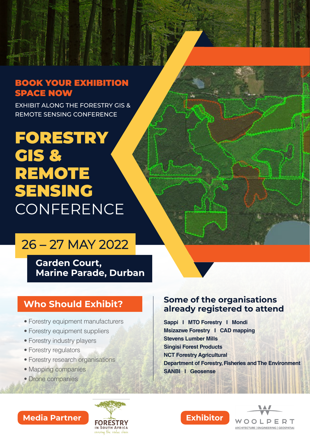#### **BOOK YOUR EXHIBITION SPACE NOW**

**EXHIBIT ALONG THE FORESTRY GIS &** REMOTE SENSING CONFERENCE

# FORESTRY **GIS &**  REMOTE SENSING CONFERENCE

## 26 – 27 MAY 2022

**Garden Court, Marine Parade, Durban** 

- Forestry equipment manufacturers
- Forestry equipment suppliers
- Forestry industry players
- Forestry regulators
- Forestry research organisations
- Mapping companies
- Drone companies

#### **19 Oriental Some of the organisations already registered to attend**

**Sappi I MTO Forestry I Mondi Msizazwe Forestry | CAD mapping Stevens Lumber Mills Singisi Forest Products NCT Forestry Agricultural Department of Forestry, Fisheries and The Environment SANBI I Geosense**